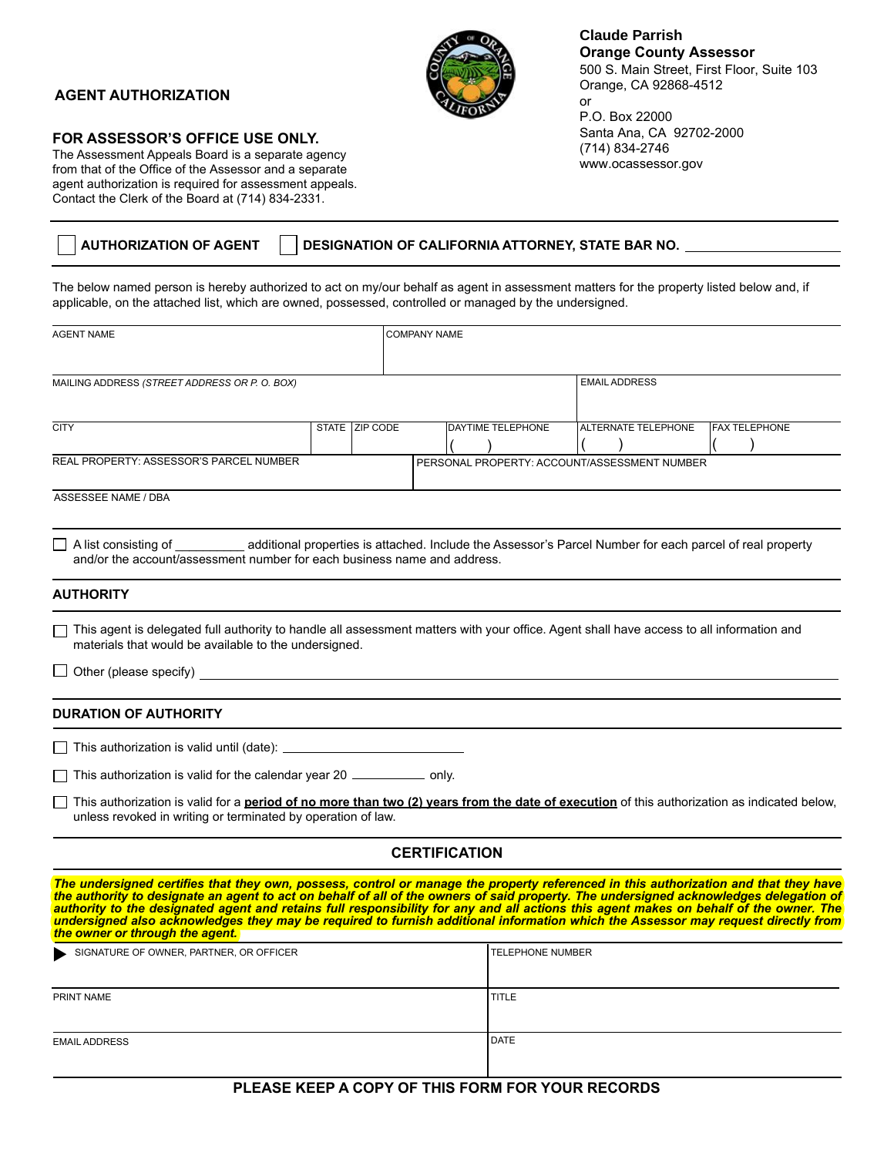## **AGENT AUTHORIZATION**



## **Claude Parrish Orange County Assessor**

500 S. Main Street, First Floor, Suite 103 Orange, CA 92868-4512 or

P.O. Box 22000 Santa Ana, CA 92702-2000 (714) 834-2746 www.ocassessor.gov

## **FOR ASSESSOR'S OFFICE USE ONLY.**

The Assessment Appeals Board is a separate agency from that of the Office of the Assessor and a separate agent authorization is required for assessment appeals. Contact the Clerk of the Board at (714) 834-2331.

|  | <b>AUTHORIZATION OF AGENT</b> | DESIGNATION OF CALIFORNIA ATTORNEY, STATE BAR NO. |
|--|-------------------------------|---------------------------------------------------|
|  |                               |                                                   |

The below named person is hereby authorized to act on my/our behalf as agent in assessment matters for the property listed below and, if applicable, on the attached list, which are owned, possessed, controlled or managed by the undersigned.

| AGENT NAME                                                                                                                                                                                                                                                                                                                                                                                                                                                                                                                                          |                | <b>COMPANY NAME</b> |  |                          |                         |                     |                                              |                      |  |  |
|-----------------------------------------------------------------------------------------------------------------------------------------------------------------------------------------------------------------------------------------------------------------------------------------------------------------------------------------------------------------------------------------------------------------------------------------------------------------------------------------------------------------------------------------------------|----------------|---------------------|--|--------------------------|-------------------------|---------------------|----------------------------------------------|----------------------|--|--|
| MAILING ADDRESS (STREET ADDRESS OR P. O. BOX)                                                                                                                                                                                                                                                                                                                                                                                                                                                                                                       |                |                     |  |                          |                         |                     | <b>EMAIL ADDRESS</b>                         |                      |  |  |
| <b>CITY</b>                                                                                                                                                                                                                                                                                                                                                                                                                                                                                                                                         | STATE ZIP CODE |                     |  | <b>DAYTIME TELEPHONE</b> |                         | ALTERNATE TELEPHONE |                                              | <b>FAX TELEPHONE</b> |  |  |
| REAL PROPERTY: ASSESSOR'S PARCEL NUMBER                                                                                                                                                                                                                                                                                                                                                                                                                                                                                                             |                |                     |  |                          |                         |                     | PERSONAL PROPERTY: ACCOUNT/ASSESSMENT NUMBER |                      |  |  |
| <b>ASSESSEE NAME / DBA</b>                                                                                                                                                                                                                                                                                                                                                                                                                                                                                                                          |                |                     |  |                          |                         |                     |                                              |                      |  |  |
| A list consisting of ___________ additional properties is attached. Include the Assessor's Parcel Number for each parcel of real property<br>and/or the account/assessment number for each business name and address.                                                                                                                                                                                                                                                                                                                               |                |                     |  |                          |                         |                     |                                              |                      |  |  |
| <b>AUTHORITY</b>                                                                                                                                                                                                                                                                                                                                                                                                                                                                                                                                    |                |                     |  |                          |                         |                     |                                              |                      |  |  |
| This agent is delegated full authority to handle all assessment matters with your office. Agent shall have access to all information and<br>materials that would be available to the undersigned.                                                                                                                                                                                                                                                                                                                                                   |                |                     |  |                          |                         |                     |                                              |                      |  |  |
| $\Box$ Other (please specify)                                                                                                                                                                                                                                                                                                                                                                                                                                                                                                                       |                |                     |  |                          |                         |                     |                                              |                      |  |  |
| <b>DURATION OF AUTHORITY</b>                                                                                                                                                                                                                                                                                                                                                                                                                                                                                                                        |                |                     |  |                          |                         |                     |                                              |                      |  |  |
|                                                                                                                                                                                                                                                                                                                                                                                                                                                                                                                                                     |                |                     |  |                          |                         |                     |                                              |                      |  |  |
| $\Box$ This authorization is valid for the calendar year 20 $\Box$ only.                                                                                                                                                                                                                                                                                                                                                                                                                                                                            |                |                     |  |                          |                         |                     |                                              |                      |  |  |
| $\Box$ This authorization is valid for a <b>period of no more than two (2) years from the date of execution</b> of this authorization as indicated below,<br>unless revoked in writing or terminated by operation of law.                                                                                                                                                                                                                                                                                                                           |                |                     |  |                          |                         |                     |                                              |                      |  |  |
|                                                                                                                                                                                                                                                                                                                                                                                                                                                                                                                                                     |                |                     |  | <b>CERTIFICATION</b>     |                         |                     |                                              |                      |  |  |
| The undersigned certifies that they own, possess, control or manage the property referenced in this authorization and that they have<br>the authority to designate an agent to act on behalf of all of the owners of said propert<br>authority to the designated agent and retains full responsibility for any and all actions this agent makes on behalf of the owner. The<br>undersigned also acknowledges they may be required to furnish additional information which the Assessor may request directly from<br>the owner or through the agent. |                |                     |  |                          |                         |                     |                                              |                      |  |  |
| SIGNATURE OF OWNER, PARTNER, OR OFFICER                                                                                                                                                                                                                                                                                                                                                                                                                                                                                                             |                |                     |  |                          | <b>TELEPHONE NUMBER</b> |                     |                                              |                      |  |  |
| PRINT NAME                                                                                                                                                                                                                                                                                                                                                                                                                                                                                                                                          |                |                     |  |                          | <b>TITLE</b>            |                     |                                              |                      |  |  |
| <b>EMAIL ADDRESS</b>                                                                                                                                                                                                                                                                                                                                                                                                                                                                                                                                |                |                     |  |                          | <b>DATE</b>             |                     |                                              |                      |  |  |